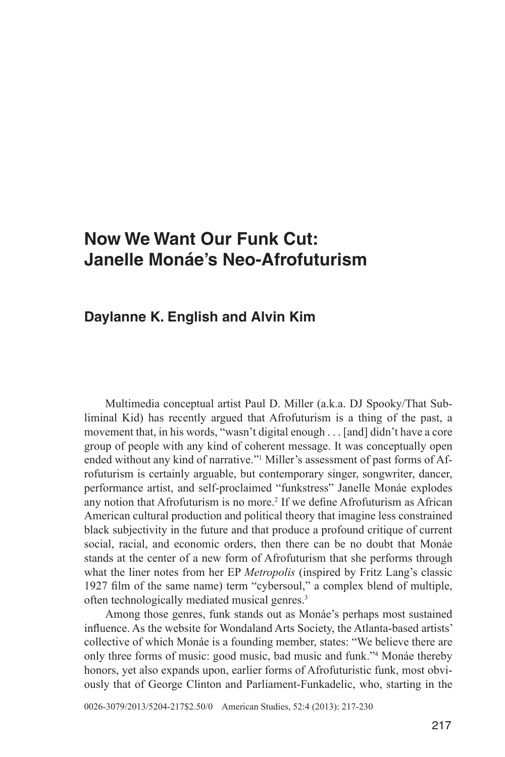# **Now We Want Our Funk Cut: Janelle Monáe's Neo-Afrofuturism**

# **Daylanne K. English and Alvin Kim**

Multimedia conceptual artist Paul D. Miller (a.k.a. DJ Spooky/That Subliminal Kid) has recently argued that Afrofuturism is a thing of the past, a movement that, in his words, "wasn't digital enough . . . [and] didn't have a core group of people with any kind of coherent message. It was conceptually open ended without any kind of narrative."<sup>1</sup> Miller's assessment of past forms of Afrofuturism is certainly arguable, but contemporary singer, songwriter, dancer, performance artist, and self-proclaimed "funkstress" Janelle Monáe explodes any notion that Afrofuturism is no more.<sup>2</sup> If we define Afrofuturism as African American cultural production and political theory that imagine less constrained black subjectivity in the future and that produce a profound critique of current social, racial, and economic orders, then there can be no doubt that Monáe stands at the center of a new form of Afrofuturism that she performs through what the liner notes from her EP *Metropolis* (inspired by Fritz Lang's classic 1927 film of the same name) term "cybersoul," a complex blend of multiple, often technologically mediated musical genres.3

Among those genres, funk stands out as Monáe's perhaps most sustained influence. As the website for Wondaland Arts Society, the Atlanta-based artists' collective of which Monáe is a founding member, states: "We believe there are only three forms of music: good music, bad music and funk."4 Monáe thereby honors, yet also expands upon, earlier forms of Afrofuturistic funk, most obviously that of George Clinton and Parliament-Funkadelic, who, starting in the

0026-3079/2013/5204-217\$2.50/0 American Studies, 52:4 (2013): 217-230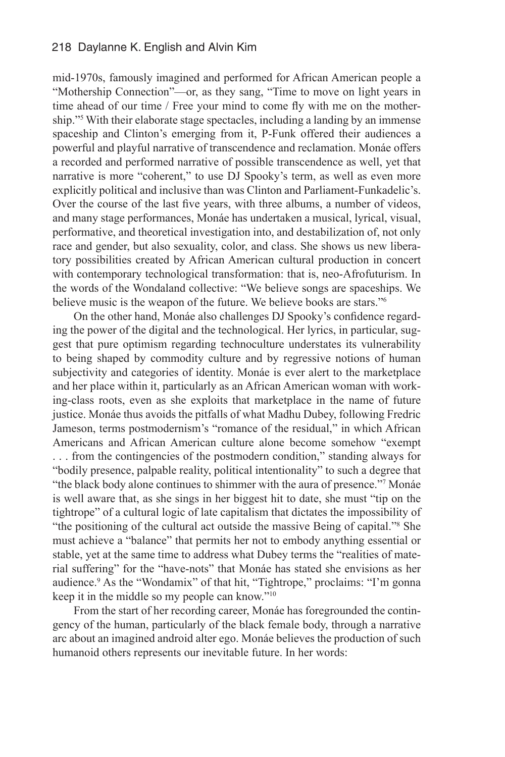mid-1970s, famously imagined and performed for African American people a "Mothership Connection"—or, as they sang, "Time to move on light years in time ahead of our time / Free your mind to come fly with me on the mothership."5 With their elaborate stage spectacles, including a landing by an immense spaceship and Clinton's emerging from it, P-Funk offered their audiences a powerful and playful narrative of transcendence and reclamation. Monáe offers a recorded and performed narrative of possible transcendence as well, yet that narrative is more "coherent," to use DJ Spooky's term, as well as even more explicitly political and inclusive than was Clinton and Parliament-Funkadelic's. Over the course of the last five years, with three albums, a number of videos, and many stage performances, Monáe has undertaken a musical, lyrical, visual, performative, and theoretical investigation into, and destabilization of, not only race and gender, but also sexuality, color, and class. She shows us new liberatory possibilities created by African American cultural production in concert with contemporary technological transformation: that is, neo-Afrofuturism. In the words of the Wondaland collective: "We believe songs are spaceships. We believe music is the weapon of the future. We believe books are stars."<sup>6</sup>

On the other hand, Monáe also challenges DJ Spooky's confidence regarding the power of the digital and the technological. Her lyrics, in particular, suggest that pure optimism regarding technoculture understates its vulnerability to being shaped by commodity culture and by regressive notions of human subjectivity and categories of identity. Monáe is ever alert to the marketplace and her place within it, particularly as an African American woman with working-class roots, even as she exploits that marketplace in the name of future justice. Monáe thus avoids the pitfalls of what Madhu Dubey, following Fredric Jameson, terms postmodernism's "romance of the residual," in which African Americans and African American culture alone become somehow "exempt . . . from the contingencies of the postmodern condition," standing always for "bodily presence, palpable reality, political intentionality" to such a degree that "the black body alone continues to shimmer with the aura of presence."7 Monáe is well aware that, as she sings in her biggest hit to date, she must "tip on the tightrope" of a cultural logic of late capitalism that dictates the impossibility of "the positioning of the cultural act outside the massive Being of capital."8 She must achieve a "balance" that permits her not to embody anything essential or stable, yet at the same time to address what Dubey terms the "realities of material suffering" for the "have-nots" that Monáe has stated she envisions as her audience.9 As the "Wondamix" of that hit, "Tightrope," proclaims: "I'm gonna keep it in the middle so my people can know."10

From the start of her recording career, Monáe has foregrounded the contingency of the human, particularly of the black female body, through a narrative arc about an imagined android alter ego. Monáe believes the production of such humanoid others represents our inevitable future. In her words: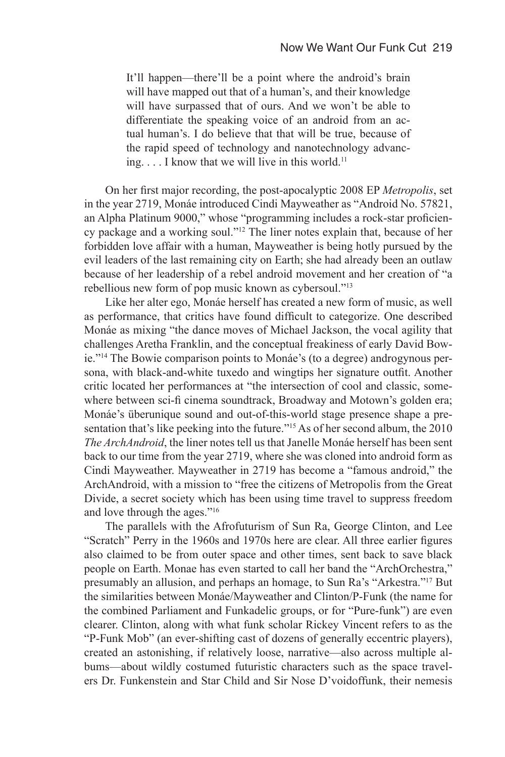It'll happen—there'll be a point where the android's brain will have mapped out that of a human's, and their knowledge will have surpassed that of ours. And we won't be able to differentiate the speaking voice of an android from an actual human's. I do believe that that will be true, because of the rapid speed of technology and nanotechnology advancing. . . . I know that we will live in this world.<sup>11</sup>

On her first major recording, the post-apocalyptic 2008 EP *Metropolis*, set in the year 2719, Monáe introduced Cindi Mayweather as "Android No. 57821, an Alpha Platinum 9000," whose "programming includes a rock-star proficiency package and a working soul."12 The liner notes explain that, because of her forbidden love affair with a human, Mayweather is being hotly pursued by the evil leaders of the last remaining city on Earth; she had already been an outlaw because of her leadership of a rebel android movement and her creation of "a rebellious new form of pop music known as cybersoul."13

Like her alter ego, Monáe herself has created a new form of music, as well as performance, that critics have found difficult to categorize. One described Monáe as mixing "the dance moves of Michael Jackson, the vocal agility that challenges Aretha Franklin, and the conceptual freakiness of early David Bowie."14 The Bowie comparison points to Monáe's (to a degree) androgynous persona, with black-and-white tuxedo and wingtips her signature outfit. Another critic located her performances at "the intersection of cool and classic, somewhere between sci-fi cinema soundtrack, Broadway and Motown's golden era; Monáe's überunique sound and out-of-this-world stage presence shape a presentation that's like peeking into the future."15 As of her second album, the 2010 *The ArchAndroid*, the liner notes tell us that Janelle Monáe herself has been sent back to our time from the year 2719, where she was cloned into android form as Cindi Mayweather. Mayweather in 2719 has become a "famous android," the ArchAndroid, with a mission to "free the citizens of Metropolis from the Great Divide, a secret society which has been using time travel to suppress freedom and love through the ages."16

The parallels with the Afrofuturism of Sun Ra, George Clinton, and Lee "Scratch" Perry in the 1960s and 1970s here are clear. All three earlier figures also claimed to be from outer space and other times, sent back to save black people on Earth. Monae has even started to call her band the "ArchOrchestra," presumably an allusion, and perhaps an homage, to Sun Ra's "Arkestra."17 But the similarities between Monáe/Mayweather and Clinton/P-Funk (the name for the combined Parliament and Funkadelic groups, or for "Pure-funk") are even clearer. Clinton, along with what funk scholar Rickey Vincent refers to as the "P-Funk Mob" (an ever-shifting cast of dozens of generally eccentric players), created an astonishing, if relatively loose, narrative—also across multiple albums—about wildly costumed futuristic characters such as the space travelers Dr. Funkenstein and Star Child and Sir Nose D'voidoffunk, their nemesis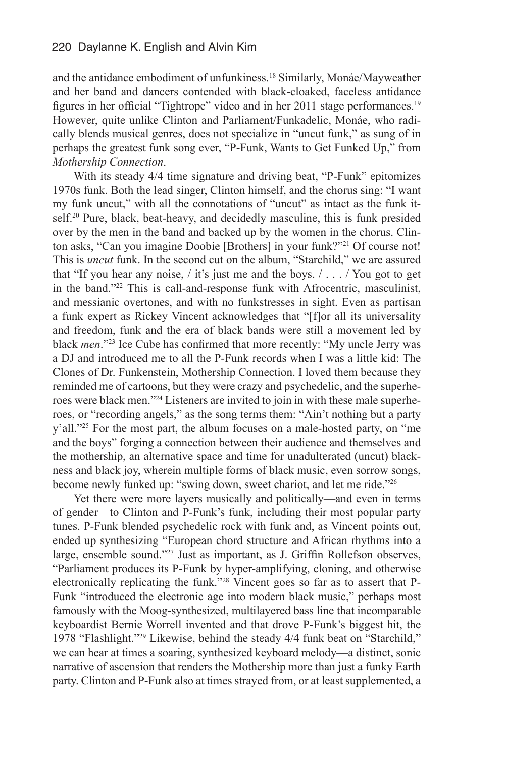and the antidance embodiment of unfunkiness.18 Similarly, Monáe/Mayweather and her band and dancers contended with black-cloaked, faceless antidance figures in her official "Tightrope" video and in her 2011 stage performances.<sup>19</sup> However, quite unlike Clinton and Parliament/Funkadelic, Monáe, who radically blends musical genres, does not specialize in "uncut funk," as sung of in perhaps the greatest funk song ever, "P-Funk, Wants to Get Funked Up," from *Mothership Connection*.

With its steady 4/4 time signature and driving beat, "P-Funk" epitomizes 1970s funk. Both the lead singer, Clinton himself, and the chorus sing: "I want my funk uncut," with all the connotations of "uncut" as intact as the funk itself.20 Pure, black, beat-heavy, and decidedly masculine, this is funk presided over by the men in the band and backed up by the women in the chorus. Clinton asks, "Can you imagine Doobie [Brothers] in your funk?"21 Of course not! This is *uncut* funk. In the second cut on the album, "Starchild," we are assured that "If you hear any noise,  $/$  it's just me and the boys.  $/ \ldots /$  You got to get in the band."22 This is call-and-response funk with Afrocentric, masculinist, and messianic overtones, and with no funkstresses in sight. Even as partisan a funk expert as Rickey Vincent acknowledges that "[f]or all its universality and freedom, funk and the era of black bands were still a movement led by black *men*."23 Ice Cube has confirmed that more recently: "My uncle Jerry was a DJ and introduced me to all the P-Funk records when I was a little kid: The Clones of Dr. Funkenstein, Mothership Connection. I loved them because they reminded me of cartoons, but they were crazy and psychedelic, and the superheroes were black men."24 Listeners are invited to join in with these male superheroes, or "recording angels," as the song terms them: "Ain't nothing but a party y'all."25 For the most part, the album focuses on a male-hosted party, on "me and the boys" forging a connection between their audience and themselves and the mothership, an alternative space and time for unadulterated (uncut) blackness and black joy, wherein multiple forms of black music, even sorrow songs, become newly funked up: "swing down, sweet chariot, and let me ride."26

Yet there were more layers musically and politically—and even in terms of gender—to Clinton and P-Funk's funk, including their most popular party tunes. P-Funk blended psychedelic rock with funk and, as Vincent points out, ended up synthesizing "European chord structure and African rhythms into a large, ensemble sound."27 Just as important, as J. Griffin Rollefson observes, "Parliament produces its P-Funk by hyper-amplifying, cloning, and otherwise electronically replicating the funk."28 Vincent goes so far as to assert that P-Funk "introduced the electronic age into modern black music," perhaps most famously with the Moog-synthesized, multilayered bass line that incomparable keyboardist Bernie Worrell invented and that drove P-Funk's biggest hit, the 1978 "Flashlight."29 Likewise, behind the steady 4/4 funk beat on "Starchild," we can hear at times a soaring, synthesized keyboard melody—a distinct, sonic narrative of ascension that renders the Mothership more than just a funky Earth party. Clinton and P-Funk also at times strayed from, or at least supplemented, a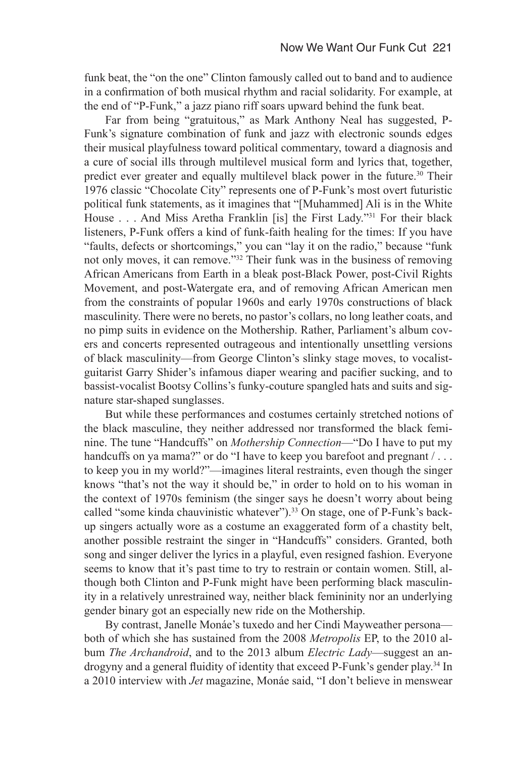funk beat, the "on the one" Clinton famously called out to band and to audience in a confirmation of both musical rhythm and racial solidarity. For example, at the end of "P-Funk," a jazz piano riff soars upward behind the funk beat.

Far from being "gratuitous," as Mark Anthony Neal has suggested, P-Funk's signature combination of funk and jazz with electronic sounds edges their musical playfulness toward political commentary, toward a diagnosis and a cure of social ills through multilevel musical form and lyrics that, together, predict ever greater and equally multilevel black power in the future.30 Their 1976 classic "Chocolate City" represents one of P-Funk's most overt futuristic political funk statements, as it imagines that "[Muhammed] Ali is in the White House . . . And Miss Aretha Franklin [is] the First Lady."31 For their black listeners, P-Funk offers a kind of funk-faith healing for the times: If you have "faults, defects or shortcomings," you can "lay it on the radio," because "funk not only moves, it can remove."32 Their funk was in the business of removing African Americans from Earth in a bleak post-Black Power, post-Civil Rights Movement, and post-Watergate era, and of removing African American men from the constraints of popular 1960s and early 1970s constructions of black masculinity. There were no berets, no pastor's collars, no long leather coats, and no pimp suits in evidence on the Mothership. Rather, Parliament's album covers and concerts represented outrageous and intentionally unsettling versions of black masculinity—from George Clinton's slinky stage moves, to vocalistguitarist Garry Shider's infamous diaper wearing and pacifier sucking, and to bassist-vocalist Bootsy Collins's funky-couture spangled hats and suits and signature star-shaped sunglasses.

But while these performances and costumes certainly stretched notions of the black masculine, they neither addressed nor transformed the black feminine. The tune "Handcuffs" on *Mothership Connection*—"Do I have to put my handcuffs on ya mama?" or do "I have to keep you barefoot and pregnant / ... to keep you in my world?"—imagines literal restraints, even though the singer knows "that's not the way it should be," in order to hold on to his woman in the context of 1970s feminism (the singer says he doesn't worry about being called "some kinda chauvinistic whatever").<sup>33</sup> On stage, one of P-Funk's backup singers actually wore as a costume an exaggerated form of a chastity belt, another possible restraint the singer in "Handcuffs" considers. Granted, both song and singer deliver the lyrics in a playful, even resigned fashion. Everyone seems to know that it's past time to try to restrain or contain women. Still, although both Clinton and P-Funk might have been performing black masculinity in a relatively unrestrained way, neither black femininity nor an underlying gender binary got an especially new ride on the Mothership.

By contrast, Janelle Monáe's tuxedo and her Cindi Mayweather persona both of which she has sustained from the 2008 *Metropolis* EP, to the 2010 album *The Archandroid*, and to the 2013 album *Electric Lady*—suggest an androgyny and a general fluidity of identity that exceed P-Funk's gender play.34 In a 2010 interview with *Jet* magazine, Monáe said, "I don't believe in menswear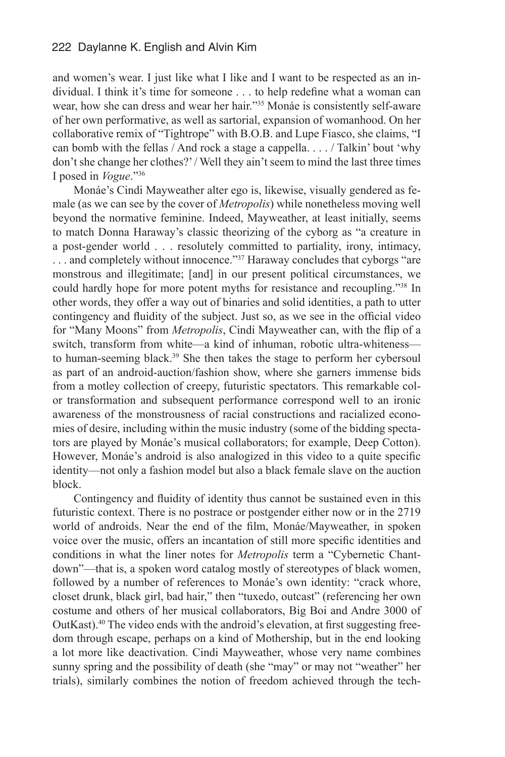and women's wear. I just like what I like and I want to be respected as an individual. I think it's time for someone . . . to help redefine what a woman can wear, how she can dress and wear her hair."35 Monáe is consistently self-aware of her own performative, as well as sartorial, expansion of womanhood. On her collaborative remix of "Tightrope" with B.O.B. and Lupe Fiasco, she claims, "I can bomb with the fellas / And rock a stage a cappella. . . . / Talkin' bout 'why don't she change her clothes?' / Well they ain't seem to mind the last three times I posed in *Vogue*."36

Monáe's Cindi Mayweather alter ego is, likewise, visually gendered as female (as we can see by the cover of *Metropolis*) while nonetheless moving well beyond the normative feminine. Indeed, Mayweather, at least initially, seems to match Donna Haraway's classic theorizing of the cyborg as "a creature in a post-gender world . . . resolutely committed to partiality, irony, intimacy, ... and completely without innocence."<sup>37</sup> Haraway concludes that cyborgs "are monstrous and illegitimate; [and] in our present political circumstances, we could hardly hope for more potent myths for resistance and recoupling."38 In other words, they offer a way out of binaries and solid identities, a path to utter contingency and fluidity of the subject. Just so, as we see in the official video for "Many Moons" from *Metropolis*, Cindi Mayweather can, with the flip of a switch, transform from white—a kind of inhuman, robotic ultra-whiteness to human-seeming black.<sup>39</sup> She then takes the stage to perform her cybersoul as part of an android-auction/fashion show, where she garners immense bids from a motley collection of creepy, futuristic spectators. This remarkable color transformation and subsequent performance correspond well to an ironic awareness of the monstrousness of racial constructions and racialized economies of desire, including within the music industry (some of the bidding spectators are played by Monáe's musical collaborators; for example, Deep Cotton). However, Monáe's android is also analogized in this video to a quite specific identity—not only a fashion model but also a black female slave on the auction block.

Contingency and fluidity of identity thus cannot be sustained even in this futuristic context. There is no postrace or postgender either now or in the 2719 world of androids. Near the end of the film, Monáe/Mayweather, in spoken voice over the music, offers an incantation of still more specific identities and conditions in what the liner notes for *Metropolis* term a "Cybernetic Chantdown"—that is, a spoken word catalog mostly of stereotypes of black women, followed by a number of references to Monáe's own identity: "crack whore, closet drunk, black girl, bad hair," then "tuxedo, outcast" (referencing her own costume and others of her musical collaborators, Big Boi and Andre 3000 of OutKast).40 The video ends with the android's elevation, at first suggesting freedom through escape, perhaps on a kind of Mothership, but in the end looking a lot more like deactivation. Cindi Mayweather, whose very name combines sunny spring and the possibility of death (she "may" or may not "weather" her trials), similarly combines the notion of freedom achieved through the tech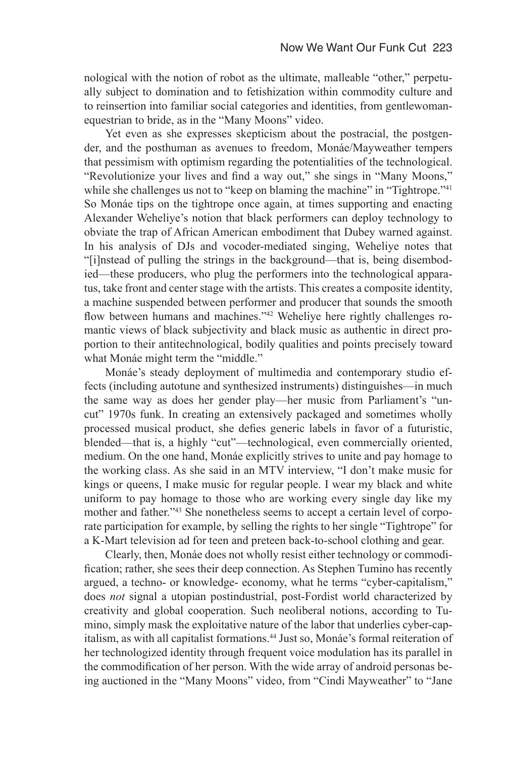nological with the notion of robot as the ultimate, malleable "other," perpetually subject to domination and to fetishization within commodity culture and to reinsertion into familiar social categories and identities, from gentlewomanequestrian to bride, as in the "Many Moons" video.

Yet even as she expresses skepticism about the postracial, the postgender, and the posthuman as avenues to freedom, Monáe/Mayweather tempers that pessimism with optimism regarding the potentialities of the technological. "Revolutionize your lives and find a way out," she sings in "Many Moons," while she challenges us not to "keep on blaming the machine" in "Tightrope."<sup>41</sup> So Monáe tips on the tightrope once again, at times supporting and enacting Alexander Weheliye's notion that black performers can deploy technology to obviate the trap of African American embodiment that Dubey warned against. In his analysis of DJs and vocoder-mediated singing, Weheliye notes that "[i]nstead of pulling the strings in the background—that is, being disembodied—these producers, who plug the performers into the technological apparatus, take front and center stage with the artists. This creates a composite identity, a machine suspended between performer and producer that sounds the smooth flow between humans and machines."<sup>42</sup> Weheliye here rightly challenges romantic views of black subjectivity and black music as authentic in direct proportion to their antitechnological, bodily qualities and points precisely toward what Monáe might term the "middle."

Monáe's steady deployment of multimedia and contemporary studio effects (including autotune and synthesized instruments) distinguishes—in much the same way as does her gender play—her music from Parliament's "uncut" 1970s funk. In creating an extensively packaged and sometimes wholly processed musical product, she defies generic labels in favor of a futuristic, blended—that is, a highly "cut"—technological, even commercially oriented, medium. On the one hand, Monáe explicitly strives to unite and pay homage to the working class. As she said in an MTV interview, "I don't make music for kings or queens, I make music for regular people. I wear my black and white uniform to pay homage to those who are working every single day like my mother and father."43 She nonetheless seems to accept a certain level of corporate participation for example, by selling the rights to her single "Tightrope" for a K-Mart television ad for teen and preteen back-to-school clothing and gear.

Clearly, then, Monáe does not wholly resist either technology or commodification; rather, she sees their deep connection. As Stephen Tumino has recently argued, a techno- or knowledge- economy, what he terms "cyber-capitalism," does *not* signal a utopian postindustrial, post-Fordist world characterized by creativity and global cooperation. Such neoliberal notions, according to Tumino, simply mask the exploitative nature of the labor that underlies cyber-capitalism, as with all capitalist formations.44 Just so, Monáe's formal reiteration of her technologized identity through frequent voice modulation has its parallel in the commodification of her person. With the wide array of android personas being auctioned in the "Many Moons" video, from "Cindi Mayweather" to "Jane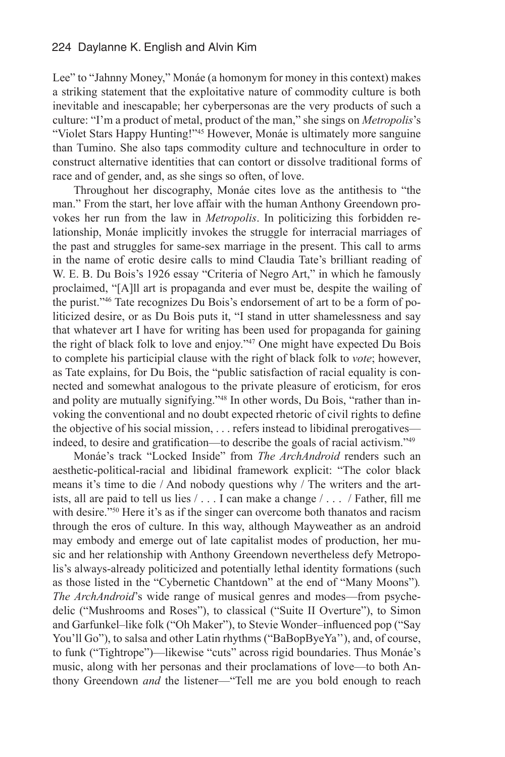Lee" to "Jahnny Money," Monáe (a homonym for money in this context) makes a striking statement that the exploitative nature of commodity culture is both inevitable and inescapable; her cyberpersonas are the very products of such a culture: "I'm a product of metal, product of the man," she sings on *Metropolis*'s "Violet Stars Happy Hunting!"45 However, Monáe is ultimately more sanguine than Tumino. She also taps commodity culture and technoculture in order to construct alternative identities that can contort or dissolve traditional forms of race and of gender, and, as she sings so often, of love.

Throughout her discography, Monáe cites love as the antithesis to "the man." From the start, her love affair with the human Anthony Greendown provokes her run from the law in *Metropolis*. In politicizing this forbidden relationship, Monáe implicitly invokes the struggle for interracial marriages of the past and struggles for same-sex marriage in the present. This call to arms in the name of erotic desire calls to mind Claudia Tate's brilliant reading of W. E. B. Du Bois's 1926 essay "Criteria of Negro Art," in which he famously proclaimed, "[A]ll art is propaganda and ever must be, despite the wailing of the purist."46 Tate recognizes Du Bois's endorsement of art to be a form of politicized desire, or as Du Bois puts it, "I stand in utter shamelessness and say that whatever art I have for writing has been used for propaganda for gaining the right of black folk to love and enjoy."47 One might have expected Du Bois to complete his participial clause with the right of black folk to *vote*; however, as Tate explains, for Du Bois, the "public satisfaction of racial equality is connected and somewhat analogous to the private pleasure of eroticism, for eros and polity are mutually signifying."48 In other words, Du Bois, "rather than invoking the conventional and no doubt expected rhetoric of civil rights to define the objective of his social mission, . . . refers instead to libidinal prerogatives indeed, to desire and gratification—to describe the goals of racial activism."<sup>49</sup>

Monáe's track "Locked Inside" from *The ArchAndroid* renders such an aesthetic-political-racial and libidinal framework explicit: "The color black means it's time to die / And nobody questions why / The writers and the artists, all are paid to tell us lies / . . . I can make a change / . . . / Father, fill me with desire."<sup>50</sup> Here it's as if the singer can overcome both thanatos and racism through the eros of culture. In this way, although Mayweather as an android may embody and emerge out of late capitalist modes of production, her music and her relationship with Anthony Greendown nevertheless defy Metropolis's always-already politicized and potentially lethal identity formations (such as those listed in the "Cybernetic Chantdown" at the end of "Many Moons")*. The ArchAndroid*'s wide range of musical genres and modes—from psychedelic ("Mushrooms and Roses"), to classical ("Suite II Overture"), to Simon and Garfunkel–like folk ("Oh Maker"), to Stevie Wonder–influenced pop ("Say You'll Go"), to salsa and other Latin rhythms ("BaBopByeYa"), and, of course, to funk ("Tightrope")—likewise "cuts" across rigid boundaries. Thus Monáe's music, along with her personas and their proclamations of love—to both Anthony Greendown *and* the listener—"Tell me are you bold enough to reach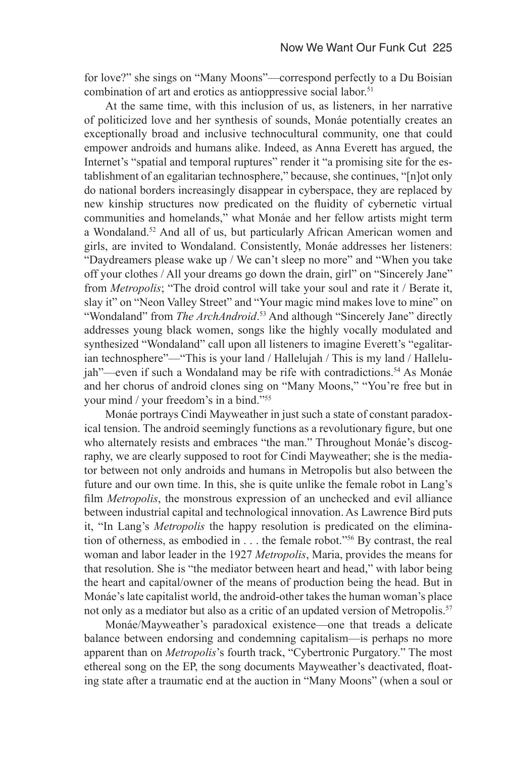for love?" she sings on "Many Moons"—correspond perfectly to a Du Boisian combination of art and erotics as antioppressive social labor.<sup>51</sup>

At the same time, with this inclusion of us, as listeners, in her narrative of politicized love and her synthesis of sounds, Monáe potentially creates an exceptionally broad and inclusive technocultural community, one that could empower androids and humans alike. Indeed, as Anna Everett has argued, the Internet's "spatial and temporal ruptures" render it "a promising site for the establishment of an egalitarian technosphere," because, she continues, "[n]ot only do national borders increasingly disappear in cyberspace, they are replaced by new kinship structures now predicated on the fluidity of cybernetic virtual communities and homelands," what Monáe and her fellow artists might term a Wondaland.52 And all of us, but particularly African American women and girls, are invited to Wondaland. Consistently, Monáe addresses her listeners: "Daydreamers please wake up / We can't sleep no more" and "When you take off your clothes / All your dreams go down the drain, girl" on "Sincerely Jane" from *Metropolis*; "The droid control will take your soul and rate it / Berate it, slay it" on "Neon Valley Street" and "Your magic mind makes love to mine" on "Wondaland" from *The ArchAndroid*.<sup>53</sup> And although "Sincerely Jane" directly addresses young black women, songs like the highly vocally modulated and synthesized "Wondaland" call upon all listeners to imagine Everett's "egalitarian technosphere"—"This is your land / Hallelujah / This is my land / Hallelujah"—even if such a Wondaland may be rife with contradictions.<sup>54</sup> As Monáe and her chorus of android clones sing on "Many Moons," "You're free but in your mind / your freedom's in a bind."55

Monáe portrays Cindi Mayweather in just such a state of constant paradoxical tension. The android seemingly functions as a revolutionary figure, but one who alternately resists and embraces "the man." Throughout Monáe's discography, we are clearly supposed to root for Cindi Mayweather; she is the mediator between not only androids and humans in Metropolis but also between the future and our own time. In this, she is quite unlike the female robot in Lang's film *Metropolis*, the monstrous expression of an unchecked and evil alliance between industrial capital and technological innovation. As Lawrence Bird puts it, "In Lang's *Metropolis* the happy resolution is predicated on the elimination of otherness, as embodied in . . . the female robot."56 By contrast, the real woman and labor leader in the 1927 *Metropolis*, Maria, provides the means for that resolution. She is "the mediator between heart and head," with labor being the heart and capital/owner of the means of production being the head. But in Monáe's late capitalist world, the android-other takes the human woman's place not only as a mediator but also as a critic of an updated version of Metropolis.<sup>57</sup>

Monáe/Mayweather's paradoxical existence—one that treads a delicate balance between endorsing and condemning capitalism—is perhaps no more apparent than on *Metropolis*'s fourth track, "Cybertronic Purgatory." The most ethereal song on the EP, the song documents Mayweather's deactivated, floating state after a traumatic end at the auction in "Many Moons" (when a soul or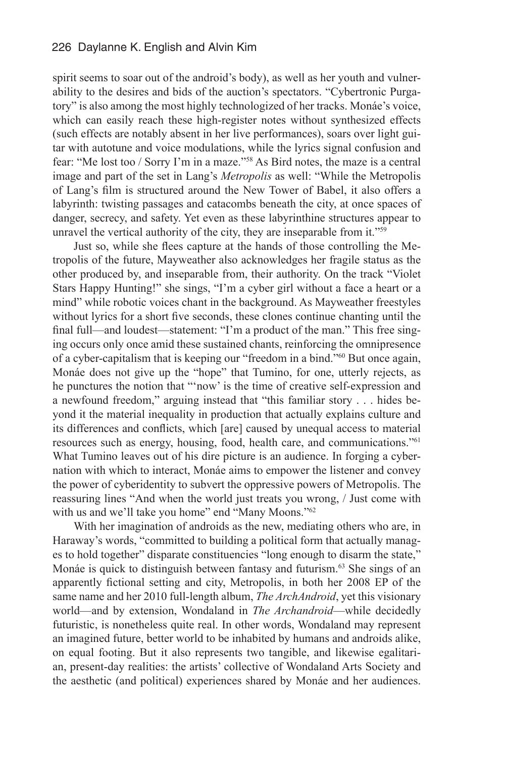spirit seems to soar out of the android's body), as well as her youth and vulnerability to the desires and bids of the auction's spectators. "Cybertronic Purgatory" is also among the most highly technologized of her tracks. Monáe's voice, which can easily reach these high-register notes without synthesized effects (such effects are notably absent in her live performances), soars over light guitar with autotune and voice modulations, while the lyrics signal confusion and fear: "Me lost too / Sorry I'm in a maze."58 As Bird notes, the maze is a central image and part of the set in Lang's *Metropolis* as well: "While the Metropolis of Lang's film is structured around the New Tower of Babel, it also offers a labyrinth: twisting passages and catacombs beneath the city, at once spaces of danger, secrecy, and safety. Yet even as these labyrinthine structures appear to unravel the vertical authority of the city, they are inseparable from it."59

Just so, while she flees capture at the hands of those controlling the Metropolis of the future, Mayweather also acknowledges her fragile status as the other produced by, and inseparable from, their authority. On the track "Violet Stars Happy Hunting!" she sings, "I'm a cyber girl without a face a heart or a mind" while robotic voices chant in the background. As Mayweather freestyles without lyrics for a short five seconds, these clones continue chanting until the final full—and loudest—statement: "I'm a product of the man." This free singing occurs only once amid these sustained chants, reinforcing the omnipresence of a cyber-capitalism that is keeping our "freedom in a bind."60 But once again, Monáe does not give up the "hope" that Tumino, for one, utterly rejects, as he punctures the notion that "'now' is the time of creative self-expression and a newfound freedom," arguing instead that "this familiar story . . . hides beyond it the material inequality in production that actually explains culture and its differences and conflicts, which [are] caused by unequal access to material resources such as energy, housing, food, health care, and communications."61 What Tumino leaves out of his dire picture is an audience. In forging a cybernation with which to interact, Monáe aims to empower the listener and convey the power of cyberidentity to subvert the oppressive powers of Metropolis. The reassuring lines "And when the world just treats you wrong, / Just come with with us and we'll take you home" end "Many Moons."<sup>62</sup>

With her imagination of androids as the new, mediating others who are, in Haraway's words, "committed to building a political form that actually manages to hold together" disparate constituencies "long enough to disarm the state," Monáe is quick to distinguish between fantasy and futurism.63 She sings of an apparently fictional setting and city, Metropolis, in both her 2008 EP of the same name and her 2010 full-length album, *The ArchAndroid*, yet this visionary world—and by extension, Wondaland in *The Archandroid*—while decidedly futuristic, is nonetheless quite real. In other words, Wondaland may represent an imagined future, better world to be inhabited by humans and androids alike, on equal footing. But it also represents two tangible, and likewise egalitarian, present-day realities: the artists' collective of Wondaland Arts Society and the aesthetic (and political) experiences shared by Monáe and her audiences.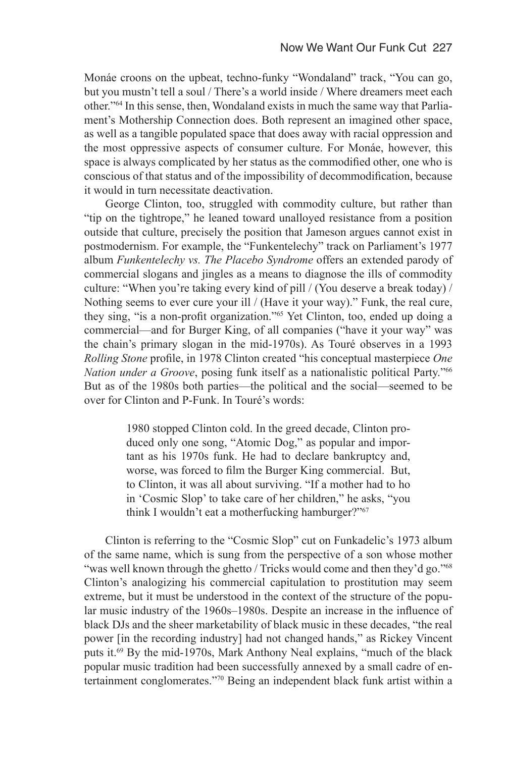Monáe croons on the upbeat, techno-funky "Wondaland" track, "You can go, but you mustn't tell a soul / There's a world inside / Where dreamers meet each other."64 In this sense, then, Wondaland exists in much the same way that Parliament's Mothership Connection does. Both represent an imagined other space, as well as a tangible populated space that does away with racial oppression and the most oppressive aspects of consumer culture. For Monáe, however, this space is always complicated by her status as the commodified other, one who is conscious of that status and of the impossibility of decommodification, because it would in turn necessitate deactivation.

George Clinton, too, struggled with commodity culture, but rather than "tip on the tightrope," he leaned toward unalloyed resistance from a position outside that culture, precisely the position that Jameson argues cannot exist in postmodernism. For example, the "Funkentelechy" track on Parliament's 1977 album *Funkentelechy vs. The Placebo Syndrome* offers an extended parody of commercial slogans and jingles as a means to diagnose the ills of commodity culture: "When you're taking every kind of pill / (You deserve a break today) / Nothing seems to ever cure your ill / (Have it your way)." Funk, the real cure, they sing, "is a non-profit organization."65 Yet Clinton, too, ended up doing a commercial—and for Burger King, of all companies ("have it your way" was the chain's primary slogan in the mid-1970s). As Touré observes in a 1993 *Rolling Stone* profile, in 1978 Clinton created "his conceptual masterpiece *One Nation under a Groove*, posing funk itself as a nationalistic political Party."66 But as of the 1980s both parties—the political and the social—seemed to be over for Clinton and P-Funk. In Touré's words:

> 1980 stopped Clinton cold. In the greed decade, Clinton produced only one song, "Atomic Dog," as popular and important as his 1970s funk. He had to declare bankruptcy and, worse, was forced to film the Burger King commercial. But, to Clinton, it was all about surviving. "If a mother had to ho in 'Cosmic Slop' to take care of her children," he asks, "you think I wouldn't eat a motherfucking hamburger?"67

Clinton is referring to the "Cosmic Slop" cut on Funkadelic's 1973 album of the same name, which is sung from the perspective of a son whose mother "was well known through the ghetto / Tricks would come and then they'd go."<sup>68</sup> Clinton's analogizing his commercial capitulation to prostitution may seem extreme, but it must be understood in the context of the structure of the popular music industry of the 1960s–1980s. Despite an increase in the influence of black DJs and the sheer marketability of black music in these decades, "the real power [in the recording industry] had not changed hands," as Rickey Vincent puts it.69 By the mid-1970s, Mark Anthony Neal explains, "much of the black popular music tradition had been successfully annexed by a small cadre of entertainment conglomerates."70 Being an independent black funk artist within a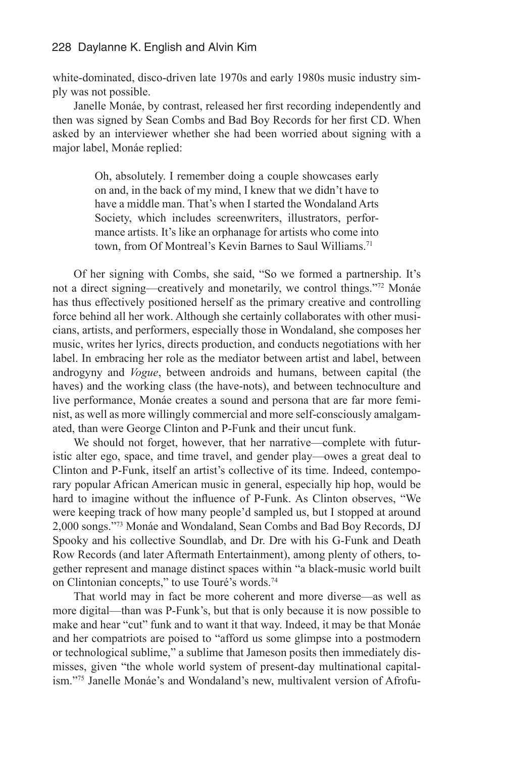white-dominated, disco-driven late 1970s and early 1980s music industry simply was not possible.

Janelle Monáe, by contrast, released her first recording independently and then was signed by Sean Combs and Bad Boy Records for her first CD. When asked by an interviewer whether she had been worried about signing with a major label, Monáe replied:

> Oh, absolutely. I remember doing a couple showcases early on and, in the back of my mind, I knew that we didn't have to have a middle man. That's when I started the Wondaland Arts Society, which includes screenwriters, illustrators, performance artists. It's like an orphanage for artists who come into town, from Of Montreal's Kevin Barnes to Saul Williams.<sup>71</sup>

Of her signing with Combs, she said, "So we formed a partnership. It's not a direct signing—creatively and monetarily, we control things."72 Monáe has thus effectively positioned herself as the primary creative and controlling force behind all her work. Although she certainly collaborates with other musicians, artists, and performers, especially those in Wondaland, she composes her music, writes her lyrics, directs production, and conducts negotiations with her label. In embracing her role as the mediator between artist and label, between androgyny and *Vogue*, between androids and humans, between capital (the haves) and the working class (the have-nots), and between technoculture and live performance, Monáe creates a sound and persona that are far more feminist, as well as more willingly commercial and more self-consciously amalgamated, than were George Clinton and P-Funk and their uncut funk.

We should not forget, however, that her narrative—complete with futuristic alter ego, space, and time travel, and gender play—owes a great deal to Clinton and P-Funk, itself an artist's collective of its time. Indeed, contemporary popular African American music in general, especially hip hop, would be hard to imagine without the influence of P-Funk. As Clinton observes, "We were keeping track of how many people'd sampled us, but I stopped at around 2,000 songs."73 Monáe and Wondaland, Sean Combs and Bad Boy Records, DJ Spooky and his collective Soundlab, and Dr. Dre with his G-Funk and Death Row Records (and later Aftermath Entertainment), among plenty of others, together represent and manage distinct spaces within "a black-music world built on Clintonian concepts," to use Touré's words.74

That world may in fact be more coherent and more diverse—as well as more digital—than was P-Funk's, but that is only because it is now possible to make and hear "cut" funk and to want it that way. Indeed, it may be that Monáe and her compatriots are poised to "afford us some glimpse into a postmodern or technological sublime," a sublime that Jameson posits then immediately dismisses, given "the whole world system of present-day multinational capitalism."75 Janelle Monáe's and Wondaland's new, multivalent version of Afrofu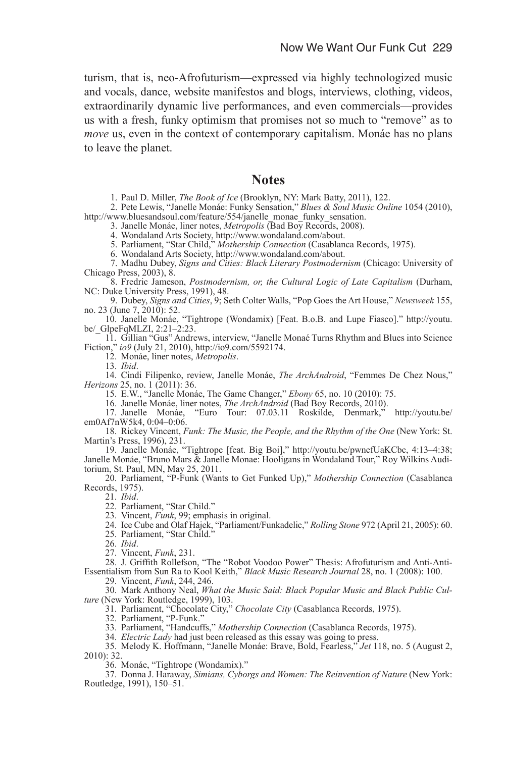turism, that is, neo-Afrofuturism—expressed via highly technologized music and vocals, dance, website manifestos and blogs, interviews, clothing, videos, extraordinarily dynamic live performances, and even commercials—provides us with a fresh, funky optimism that promises not so much to "remove" as to *move* us, even in the context of contemporary capitalism. Monáe has no plans to leave the planet.

#### **Notes**

1. Paul D. Miller, *The Book of Ice* (Brooklyn, NY: Mark Batty, 2011), 122.

2. Pete Lewis, "Janelle Monáe: Funky Sensation," *Blues & Soul Music Online* 1054 (2010),

http://www.bluesandsoul.com/feature/554/janelle\_monae\_funky\_sensation. 3. Janelle Monáe, liner notes, *Metropolis* (Bad Boy Records, 2008).

4. Wondaland Arts Society, http://www.wondaland.com/about.

5. Parliament, "Star Child," *Mothership Connection* (Casablanca Records, 1975).

6. Wondaland Arts Society, http://www.wondaland.com/about.

7. Madhu Dubey, *Signs and Cities: Black Literary Postmodernism* (Chicago: University of Chicago Press, 2003), 8.

8. Fredric Jameson, *Postmodernism, or, the Cultural Logic of Late Capitalism* (Durham, NC: Duke University Press, 1991), 48.

9. Dubey, *Signs and Cities*, 9; Seth Colter Walls, "Pop Goes the Art House," *Newsweek* 155, no. 23 (June 7, 2010): 52.

10. Janelle Monáe, "Tightrope (Wondamix) [Feat. B.o.B. and Lupe Fiasco]." http://youtu. be/\_GlpeFqMLZI, 2:21–2:23.

11. Gillian "Gus" Andrews, interview, "Janelle Monaé Turns Rhythm and Blues into Science Fiction," *io9* (July 21, 2010), http://io9.com/5592174.

12. Monáe, liner notes, *Metropolis*.

13. *Ibid*.

14. Cindi Filipenko, review, Janelle Monáe, *The ArchAndroid*, "Femmes De Chez Nous," *Herizons* 25, no. 1 (2011): 36.

15. E.W., "Janelle Monáe, The Game Changer," *Ebony* 65, no. 10 (2010): 75.

16. Janelle Monáe, liner notes, *The ArchAndroid* (Bad Boy Records, 2010).<br>17. Janelle Monáe, "Euro Tour: 07.03.11 Roskilde, Denmark,"

"Euro Tour: 07.03.11 Roskilde, Denmark," http://youtu.be/ em0Af7nW5k4, 0:04–0:06.

18. Rickey Vincent, *Funk: The Music, the People, and the Rhythm of the One* (New York: St. Martin's Press, 1996), 231.

19. Janelle Monáe, "Tightrope [feat. Big Boi]," http://youtu.be/pwnefUaKCbc, 4:13–4:38; Janelle Monáe, "Bruno Mars & Janelle Monae: Hooligans in Wondaland Tour," Roy Wilkins Auditorium, St. Paul, MN, May 25, 2011. 20. Parliament, "P-Funk (Wants to Get Funked Up)," *Mothership Connection* (Casablanca

Records, 1975).

21. *Ibid*.

22. Parliament, "Star Child."

23. Vincent, *Funk*, 99; emphasis in original.

24. Ice Cube and Olaf Hajek, "Parliament/Funkadelic," *Rolling Stone* 972 (April 21, 2005): 60.

25. Parliament, "Star Child.

26. *Ibid*.

27. Vincent, *Funk*, 231.

28. J. Griffith Rollefson, "The "Robot Voodoo Power" Thesis: Afrofuturism and Anti-Anti-Essentialism from Sun Ra to Kool Keith," *Black Music Research Journal* 28, no. 1 (2008): 100.

29. Vincent, *Funk*, 244, 246.

30. Mark Anthony Neal, *What the Music Said: Black Popular Music and Black Public Culture* (New York: Routledge, 1999), 103.

31. Parliament, "Chocolate City," *Chocolate City* (Casablanca Records, 1975).

32. Parliament, "P-Funk."

33. Parliament, "Handcuffs," *Mothership Connection* (Casablanca Records, 1975).

34. *Electric Lady* had just been released as this essay was going to press.

35. Melody K. Hoffmann, "Janelle Monáe: Brave, Bold, Fearless," *Jet* 118, no. 5 (August 2, 2010): 32.

36. Monáe, "Tightrope (Wondamix)."

37. Donna J. Haraway, *Simians, Cyborgs and Women: The Reinvention of Nature* (New York: Routledge, 1991), 150–51.